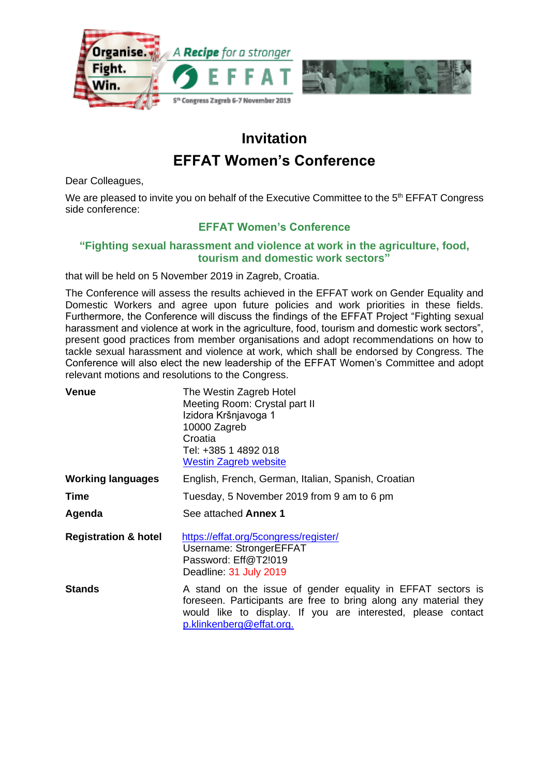

## **Invitation**

## **EFFAT Women's Conference**

Dear Colleagues,

We are pleased to invite you on behalf of the Executive Committee to the 5<sup>th</sup> EFFAT Congress side conference:

## **EFFAT Women's Conference**

## **"Fighting sexual harassment and violence at work in the agriculture, food, tourism and domestic work sectors"**

that will be held on 5 November 2019 in Zagreb, Croatia.

The Conference will assess the results achieved in the EFFAT work on Gender Equality and Domestic Workers and agree upon future policies and work priorities in these fields. Furthermore, the Conference will discuss the findings of the EFFAT Project "Fighting sexual harassment and violence at work in the agriculture, food, tourism and domestic work sectors", present good practices from member organisations and adopt recommendations on how to tackle sexual harassment and violence at work, which shall be endorsed by Congress. The Conference will also elect the new leadership of the EFFAT Women's Committee and adopt relevant motions and resolutions to the Congress.

| <b>Venue</b>                    | The Westin Zagreb Hotel<br>Meeting Room: Crystal part II<br>Izidora Kršnjavoga 1<br>10000 Zagreb<br>Croatia<br>Tel: +385 1 4892 018<br><b>Westin Zagreb website</b>                                                         |
|---------------------------------|-----------------------------------------------------------------------------------------------------------------------------------------------------------------------------------------------------------------------------|
| <b>Working languages</b>        | English, French, German, Italian, Spanish, Croatian                                                                                                                                                                         |
| Time                            | Tuesday, 5 November 2019 from 9 am to 6 pm                                                                                                                                                                                  |
| Agenda                          | See attached Annex 1                                                                                                                                                                                                        |
| <b>Registration &amp; hotel</b> | https://effat.org/5congress/register/<br>Username: StrongerEFFAT<br>Password: Eff@T2!019<br>Deadline: 31 July 2019                                                                                                          |
| <b>Stands</b>                   | A stand on the issue of gender equality in EFFAT sectors is<br>foreseen. Participants are free to bring along any material they<br>would like to display. If you are interested, please contact<br>p.klinkenberg@effat.org. |